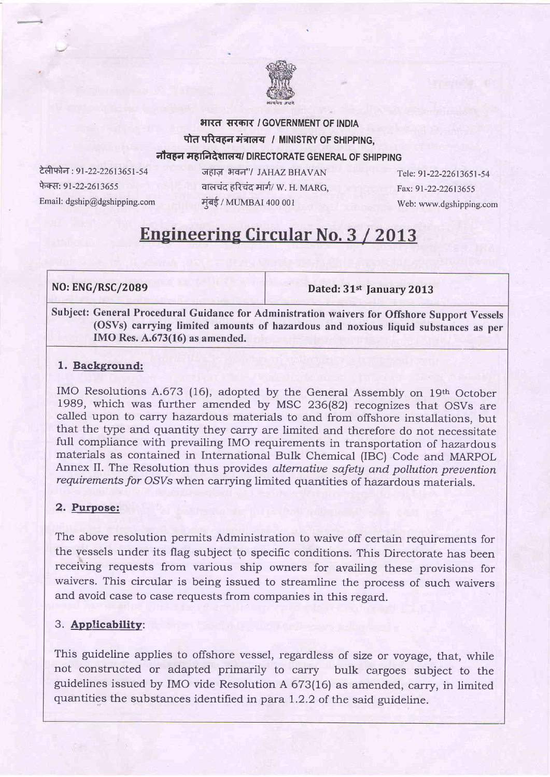

## भारत सरकार / GOVERNMENT OF INDIA पोत परिवहन मंत्रालय / MINISTRY OF SHIPPING. नौवहन महानिदेशालय/ DIRECTORATE GENERAL OF SHIPPING

टेलीफोन : 91-22-22613651-54 फेक्स: 91-22-2613655 Email: dgship@dgshipping.com

जहाज़ भवन"/ JAHAZ BHAVAN वालचंद हरिचंद मार्ग/ W. H. MARG. मुंबई / MUMBAI 400 001

Tele: 91-22-22613651-54 Fax: 9l-22-22613655 Web: www.dgshipping.com

# **Engineering Circular No. 3 / 2013**

## NO: ENG/RSC/2089

Dated: 31st January 2013

Subject: General Procedural Guidance for Administration waivers for Offshore Support Vessels (OSVs) carrying limited amounts of hazardous and noxious liquid substances as per IMO Res. A.673(16) as amended.

### 1. Background:

IMO Resolutions A.673 (16), adopted by the General Assembly on 19th October 1989, which was further amended by MSC 236(82) recognizes that OSVs are called upon to carry hazardous materials to and from offshore installations, but that the type and quantity they carry are limited and therefore do not necessitate full compliance with prevailing IMO requirements in transportation of hazardous materials as contained in International Bulk Chemical (IBC) Code and MARpOL Annex II. The Resolution thus provides alternative safety and pollution prevention requirements for OSVs when carrying limited quantities of hazardous materials.

## 2. Purpose:

The above resolution permits Administration to waive off certain requirements for the vessels under its flag subject to specific conditions. This Directorate has been receiving requests from various ship owners for availing these provisions for waivers. This circular is being issued to streamline the process of such waivers and avoid case to case requests from companies in this regard.

## 3. Applicabilitv:

This guideline applies to offshore vessel, regardless of size or voyage, that, while not constructed or adapted primarily to carry bulk cargoes subject to the guidelines issued by IMO vide Resolution A 673(16) as amended, carry, in limited quantities the substances identifred in para I.2.2 of the said guideline.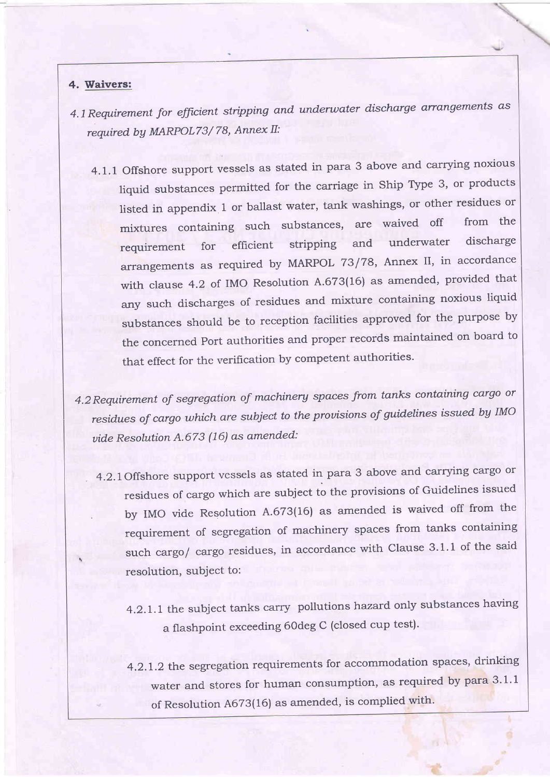#### 4. Waivers:

- 4.1 Requirement for efficient stripping and underwater discharge arrangements as required by MARPOL73/78, Annex II:
	- 4.1.1 Offshore support vessels as stated in para 3 above and carrying noxious liquid substances permitted for the carriage in Ship Type 3, or products listed in appendix 1 or ballast water, tank washings, or other residues or mixtures containing such substances, are waived off from the<br>negativement for efficient stripning and underwater discharge requirement for efficient stripping and underwater discharge arrangements as required by MARPOL 73/78, Annex II, in accordance with clause 4.2 of IMO Resolution A.673(16) as amended, provided that any such discharges of residues and mixture containing noxious liquid substances should be to reception facilities approved for the purpose by the concerned port authorities and proper records maintained on board to that effect for the verification by competent authorities.
- 4.2 Requirement of segregation of machinery spaces from tanks containing cargo or residues of cargo which are subject to the prouisions of guidelines issued bg IMO uide Resolution A.673 (16) as amended:
	- . 4.2.1Offshore support vessels as stated in para 3 above and carrying cargo or residues of cargo which are subject to the provisions of Guidelines issued by IMO vide Resolution A.673(16) as amended is waived off from the requirement of segregation of machinery spaces from tanks containing such cargo/ cargo residues, in accordance with Clause 3.1.1 of the said resolution, subject to:
		- 4.2.1.1 the subject tanks carry pollutions hazard only substances having a flashpoint exceeding 60deg C (closed cup test).
		- 4.2.1.2 the segregation requirements for accommodation spaces, drinking water and stores for human consumption, as required by para  $3.1.1$ of Resolution A673(16) as amended, is complied with.